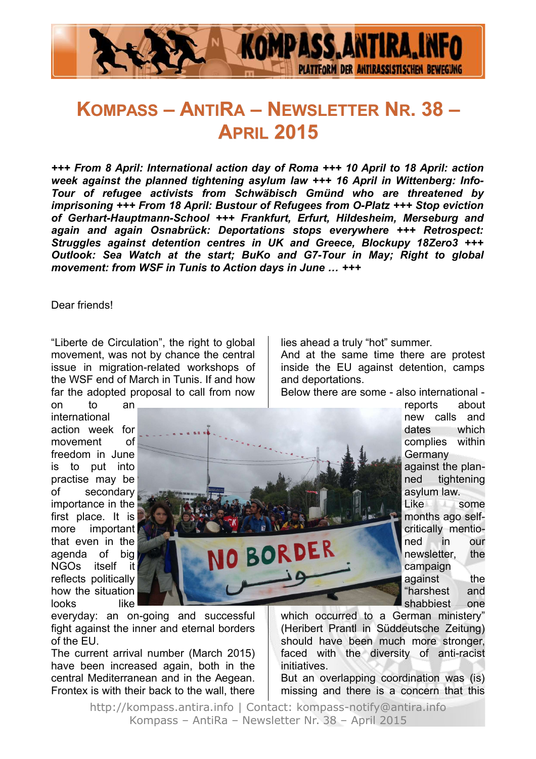

# **KOMPASS – ANTIRA – NEWSLETTER NR. 38 – APRIL 2015**

*+++ From 8 April: International action day of Roma +++ 10 April to 18 April: action week against the planned tightening asylum law +++ 16 April in Wittenberg: Info-Tour of refugee activists from Schwäbisch Gmünd who are threatened by imprisoning +++ From 18 April: Bustour of Refugees from O-Platz +++ Stop eviction of Gerhart-Hauptmann-School +++ Frankfurt, Erfurt, HiIdesheim, Merseburg and again and again Osnabrück: Deportations stops everywhere +++ Retrospect: Struggles against detention centres in UK and Greece, Blockupy 18Zero3 +++ Outlook: Sea Watch at the start; BuKo and G7-Tour in May; Right to global movement: from WSF in Tunis to Action days in June … +++*

#### Dear friends!

"Liberte de Circulation", the right to global movement, was not by chance the central issue in migration-related workshops of the WSF end of March in Tunis. If and how far the adopted proposal to call from now

on to an international action week for movement of freedom in June is to put into practise may be of secondary importance in the first place. It is more important that even in the agenda of big NGOs itself it reflects politically how the situation looks like

lies ahead a truly "hot" summer.

And at the same time there are protest inside the EU against detention, camps and deportations.

Below there are some - also international -

reports about new calls and dates which complies within **Germany** against the planned tightening asylum law. Like some months ago selfcritically mentioned in our newsletter, the campaign against the "harshest and shabbiest one

everyday: an on-going and successful fight against the inner and eternal borders of the EU.

The current arrival number (March 2015) have been increased again, both in the central Mediterranean and in the Aegean. Frontex is with their back to the wall, there which occurred to a German ministery" (Heribert Prantl in Süddeutsche Zeitung) should have been much more stronger, faced with the diversity of anti-racist initiatives.

But an overlapping coordination was (is) missing and there is a concern that this

http://kompass.antira.info | Contact: kompass-notify@antira.info Kompass – AntiRa – Newsletter Nr. 38 – April 2015

O BORDER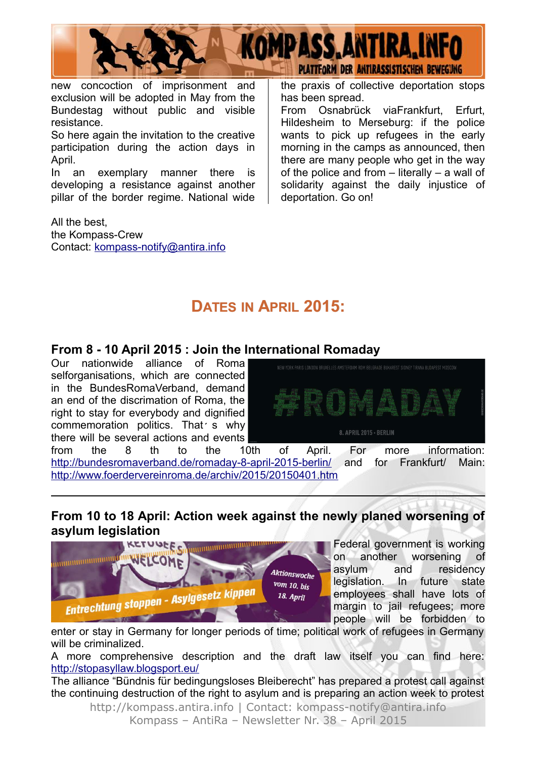

new concoction of imprisonment and exclusion will be adopted in May from the Bundestag without public and visible resistance.

So here again the invitation to the creative participation during the action days in April.

In an exemplary manner there is developing a resistance against another pillar of the border regime. National wide

All the best, the Kompass-Crew Contact: [kompass-notify@antira.inf](mailto:kompass-notify@antira.info)o the praxis of collective deportation stops has been spread.

From Osnabrück viaFrankfurt, Erfurt, Hildesheim to Merseburg: if the police wants to pick up refugees in the early morning in the camps as announced, then there are many people who get in the way of the police and from – literally – a wall of solidarity against the daily injustice of deportation. Go on!

### **DATES IN APRIL 2015:**

#### **From 8 - 10 April 2015 : Join the International Romaday**

Our nationwide alliance of Roma selforganisations, which are connected in the BundesRomaVerband, demand an end of the discrimation of Roma, the right to stay for everybody and dignified commemoration politics. That  $\epsilon$  why l, there will be several actions and events



from the 8 th to the 10th of April. For more information: <http://bundesromaverband.de/romaday-8-april-2015-berlin/>and for Frankfurt/ Main: <http://www.foerdervereinroma.de/archiv/2015/20150401.htm>

#### **From 10 to 18 April: Action week against the newly planed worsening of asylum legislation**



Federal government is working on another worsening of asylum and residency legislation. In future state employees shall have lots of margin to jail refugees; more people will be forbidden to

enter or stay in Germany for longer periods of time; political work of refugees in Germany will be criminalized.

A more comprehensive description and the draft law itself you can find here: <http://stopasyllaw.blogsport.eu/>

The alliance "Bündnis für bedingungsloses Bleiberecht" has prepared a protest call against the continuing destruction of the right to asylum and is preparing an action week to protest http://kompass.antira.info | Contact: kompass-notify@antira.info

Kompass – AntiRa – Newsletter Nr. 38 – April 2015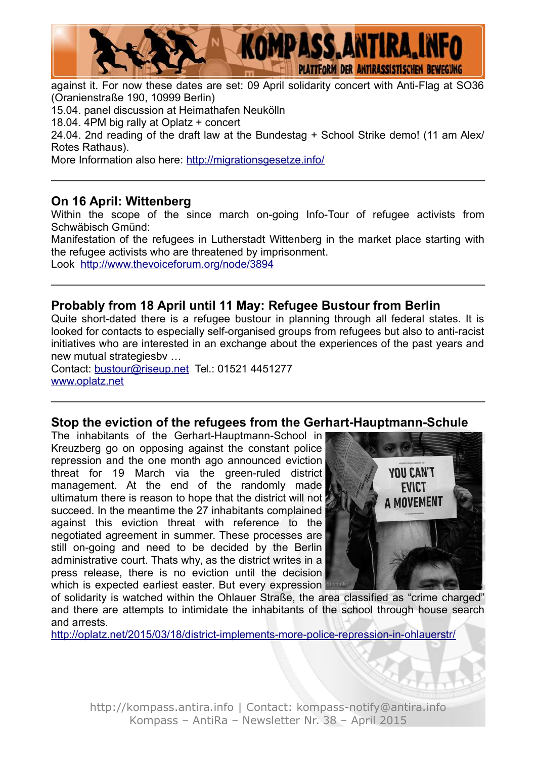

against it. For now these dates are set: 09 April solidarity concert with Anti-Flag at SO36 (Oranienstraße 190, 10999 Berlin) 15.04. panel discussion at Heimathafen Neukölln 18.04. 4PM big rally at Oplatz + concert 24.04. 2nd reading of the draft law at the Bundestag + School Strike demo! (11 am Alex/ Rotes Rathaus).

More Information also here:<http://migrationsgesetze.info/>

### **On 16 April: Wittenberg**

Within the scope of the since march on-going Info-Tour of refugee activists from Schwäbisch Gmünd:

Manifestation of the refugees in Lutherstadt Wittenberg in the market place starting with the refugee activists who are threatened by imprisonment. Look <http://www.thevoiceforum.org/node/3894>

#### **Probably from 18 April until 11 May: Refugee Bustour from Berlin**

Quite short-dated there is a refugee bustour in planning through all federal states. It is looked for contacts to especially self-organised groups from refugees but also to anti-racist initiatives who are interested in an exchange about the experiences of the past years and new mutual strategiesbv …

Contact: [bustour@riseup.net](mailto:bustour@riseup.net) Tel.: 01521 4451277 [www.oplatz.net](http://www.oplatz.net/)

#### **Stop the eviction of the refugees from the Gerhart-Hauptmann-Schule**

The inhabitants of the Gerhart-Hauptmann-School in Kreuzberg go on opposing against the constant police repression and the one month ago announced eviction threat for 19 March via the green-ruled district management. At the end of the randomly made ultimatum there is reason to hope that the district will not succeed. In the meantime the 27 inhabitants complained against this eviction threat with reference to the negotiated agreement in summer. These processes are still on-going and need to be decided by the Berlin administrative court. Thats why, as the district writes in a press release, there is no eviction until the decision which is expected earliest easter. But every expression



of solidarity is watched within the Ohlauer Straße, the area classified as "crime charged" and there are attempts to intimidate the inhabitants of the school through house search and arrests.

<http://oplatz.net/2015/03/18/district-implements-more-police-repression-in-ohlauerstr/>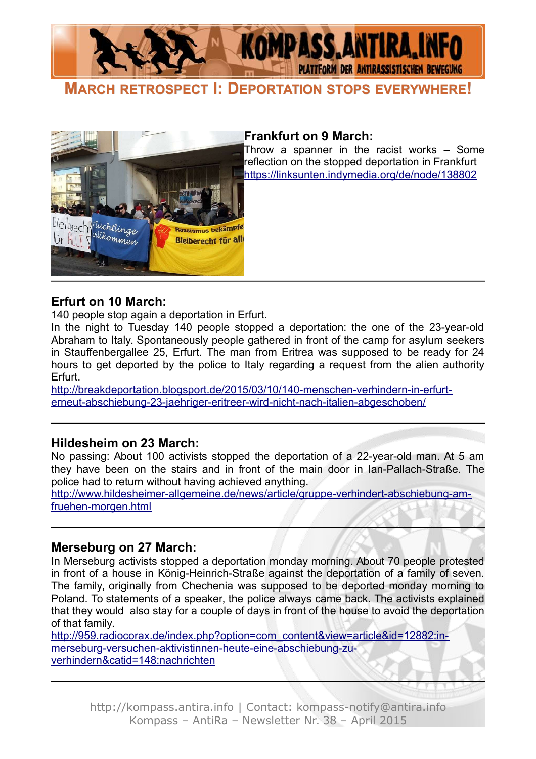

**MARCH RETROSPECT I: DEPORTATION STOPS EVERYWHERE!**



#### **Frankfurt on 9 March:**

Throw a spanner in the racist works – Some reflection on the stopped deportation in Frankfurt <https://linksunten.indymedia.org/de/node/138802>

#### **Erfurt on 10 March:**

140 people stop again a deportation in Erfurt.

In the night to Tuesday 140 people stopped a deportation: the one of the 23-year-old Abraham to Italy. Spontaneously people gathered in front of the camp for asylum seekers in Stauffenbergallee 25, Erfurt. The man from Eritrea was supposed to be ready for 24 hours to get deported by the police to Italy regarding a request from the alien authority Erfurt.

[http://breakdeportation.blogsport.de/2015/03/10/140-menschen-verhindern-in-erfurt](http://breakdeportation.blogsport.de/2015/03/10/140-menschen-verhindern-in-erfurt-erneut-abschiebung-23-jaehriger-eritreer-wird-nicht-nach-italien-abgeschoben/)  [erneut-abschiebung-23-jaehriger-eritreer-wird-nicht-nach-italien-abgeschoben/](http://breakdeportation.blogsport.de/2015/03/10/140-menschen-verhindern-in-erfurt-erneut-abschiebung-23-jaehriger-eritreer-wird-nicht-nach-italien-abgeschoben/)

#### **Hildesheim on 23 March:**

No passing: About 100 activists stopped the deportation of a 22-year-old man. At 5 am they have been on the stairs and in front of the main door in Ian-Pallach-Straße. The police had to return without having achieved anything.

[http://www.hildesheimer-allgemeine.de/news/article/gruppe-verhindert-abschiebung-am](http://www.hildesheimer-allgemeine.de/news/article/gruppe-verhindert-abschiebung-am-fruehen-morgen.html)[fruehen-morgen.html](http://www.hildesheimer-allgemeine.de/news/article/gruppe-verhindert-abschiebung-am-fruehen-morgen.html)

#### **Merseburg on 27 March:**

In Merseburg activists stopped a deportation monday morning. About 70 people protested in front of a house in König-Heinrich-Straße against the deportation of a family of seven. The family, originally from Chechenia was supposed to be deported monday morning to Poland. To statements of a speaker, the police always came back. The activists explained that they would also stay for a couple of days in front of the house to avoid the deportation of that family.

[http://959.radiocorax.de/index.php?option=com\\_content&view=article&id=12882:in](http://959.radiocorax.de/index.php?option=com_content&view=article&id=12882:in-merseburg-versuchen-aktivistinnen-heute-eine-abschiebung-zu-verhindern&catid=148:nachrichten)[merseburg-versuchen-aktivistinnen-heute-eine-abschiebung-zu](http://959.radiocorax.de/index.php?option=com_content&view=article&id=12882:in-merseburg-versuchen-aktivistinnen-heute-eine-abschiebung-zu-verhindern&catid=148:nachrichten)[verhindern&catid=148:nachrichten](http://959.radiocorax.de/index.php?option=com_content&view=article&id=12882:in-merseburg-versuchen-aktivistinnen-heute-eine-abschiebung-zu-verhindern&catid=148:nachrichten)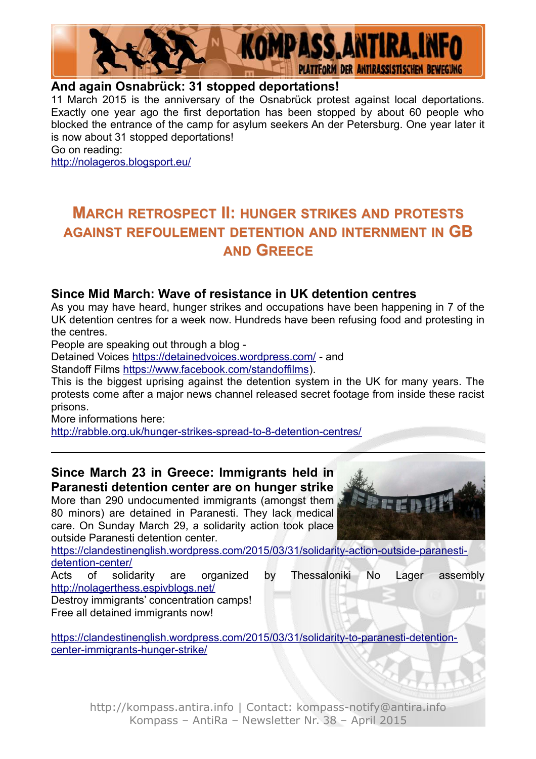

#### **And again Osnabrück: 31 stopped deportations!**

11 March 2015 is the anniversary of the Osnabrück protest against local deportations. Exactly one year ago the first deportation has been stopped by about 60 people who blocked the entrance of the camp for asylum seekers An der Petersburg. One year later it is now about 31 stopped deportations!

Go on reading:

<http://nolageros.blogsport.eu/>

## **MARCH RETROSPECT II: HUNGER STRIKES AND PROTESTS AGAINST REFOULEMENT DETENTION AND INTERNMENT IN GB AND GREECE**

#### **Since Mid March: Wave of resistance in UK detention centres**

As you may have heard, hunger strikes and occupations have been happening in 7 of the UK detention centres for a week now. Hundreds have been refusing food and protesting in the centres.

People are speaking out through a blog -

Detained Voices<https://detainedvoices.wordpress.com/>- and

Standoff Films [https://www.facebook.com/standoffilms\)](https://www.facebook.com/standoffilms).

This is the biggest uprising against the detention system in the UK for many years. The protests come after a major news channel released secret footage from inside these racist prisons.

More informations here:

<http://rabble.org.uk/hunger-strikes-spread-to-8-detention-centres/>

#### **Since March 23 in Greece: Immigrants held in Paranesti detention center are on hunger strike**

More than 290 undocumented immigrants (amongst them 80 minors) are detained in Paranesti. They lack medical care. On Sunday March 29, a solidarity action took place outside Paranesti detention center.

[https://clandestinenglish.wordpress.com/2015/03/31/solidarity-action-outside-paranesti](https://clandestinenglish.wordpress.com/2015/03/31/solidarity-action-outside-paranesti-detention-center/)[detention-center/](https://clandestinenglish.wordpress.com/2015/03/31/solidarity-action-outside-paranesti-detention-center/)

Acts of solidarity are organized by Thessaloniki No Lager assembly <http://nolagerthess.espivblogs.net/>

Destroy immigrants' concentration camps! Free all detained immigrants now!

[https://clandestinenglish.wordpress.com/2015/03/31/solidarity-to-paranesti-detention](https://clandestinenglish.wordpress.com/2015/03/31/solidarity-to-paranesti-detention-center-immigrants-hunger-strike/)[center-immigrants-hunger-strike/](https://clandestinenglish.wordpress.com/2015/03/31/solidarity-to-paranesti-detention-center-immigrants-hunger-strike/)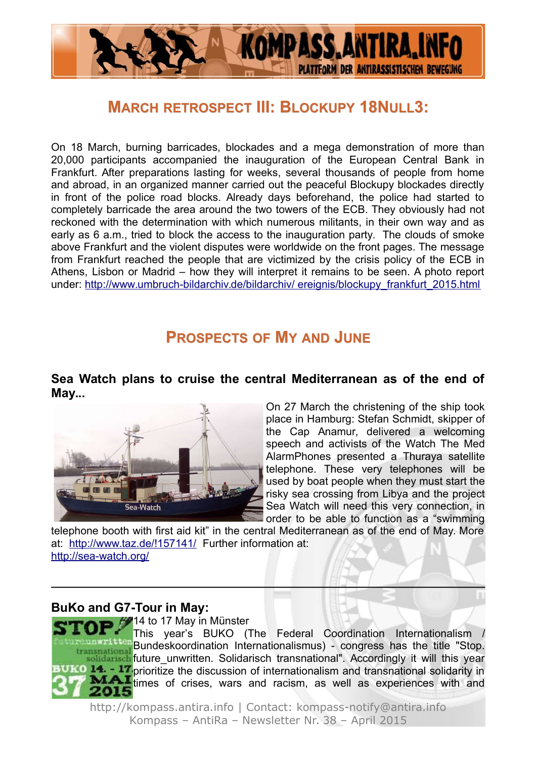

### **MARCH RETROSPECT III: BLOCKUPY 18NULL3:**

On 18 March, burning barricades, blockades and a mega demonstration of more than 20,000 participants accompanied the inauguration of the European Central Bank in Frankfurt. After preparations lasting for weeks, several thousands of people from home and abroad, in an organized manner carried out the peaceful Blockupy blockades directly in front of the police road blocks. Already days beforehand, the police had started to completely barricade the area around the two towers of the ECB. They obviously had not reckoned with the determination with which numerous militants, in their own way and as early as 6 a.m., tried to block the access to the inauguration party. The clouds of smoke above Frankfurt and the violent disputes were worldwide on the front pages. The message from Frankfurt reached the people that are victimized by the crisis policy of the ECB in Athens, Lisbon or Madrid – how they will interpret it remains to be seen. A photo report under: [http://www.umbruch-bildarchiv.de/bildarchiv/ ereignis/blockupy\\_frankfurt\\_2015.html](http://www.umbruch-bildarchiv.de/bildarchiv/%20ereignis/blockupy_frankfurt_2015.html)

### **PROSPECTS OF MY AND JUNE**

#### **Sea Watch plans to cruise the central Mediterranean as of the end of May...**



On 27 March the christening of the ship took place in Hamburg: Stefan Schmidt, skipper of the Cap Anamur, delivered a welcoming speech and activists of the Watch The Med AlarmPhones presented a Thuraya satellite telephone. These very telephones will be used by boat people when they must start the risky sea crossing from Libya and the project Sea Watch will need this very connection, in order to be able to function as a "swimming

telephone booth with first aid kit" in the central Mediterranean as of the end of May. More at: <http://www.taz.de/!157141/>Further information at: <http://sea-watch.org/>

#### **BuKo and G7-Tour in May:**

 $\rightarrow$   $\frac{1}{2}$  14 to 17 May in Münster This year's BUKO (The Federal Coordination Internationalism / Bundeskoordination Internationalismus) - congress has the title "Stop. transnational solidarisch future unwritten. Solidarisch transnational". Accordingly it will this year **PEC 14. - 17** prioritize the discussion of internationalism and transnational solidarity in **MAI** times of crises, wars and racism, as well as experiences with and 15